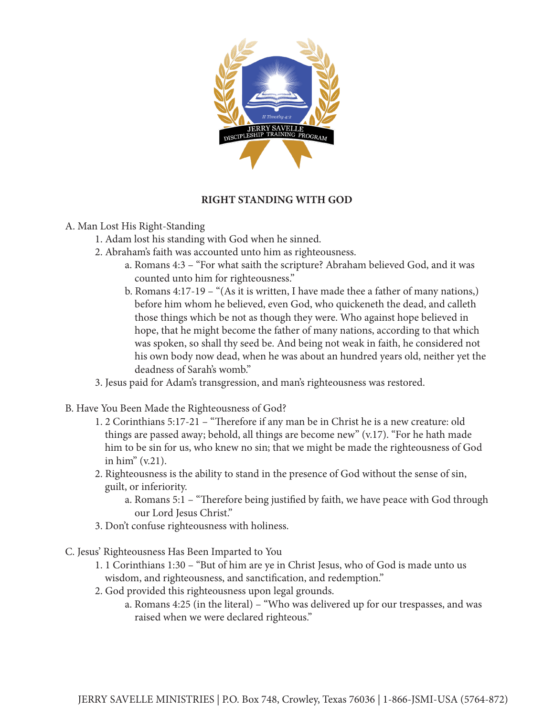

## **RIGHT STANDING WITH GOD**

- A. Man Lost His Right-Standing
	- 1. Adam lost his standing with God when he sinned.
	- 2. Abraham's faith was accounted unto him as righteousness.
		- a. Romans 4:3 "For what saith the scripture? Abraham believed God, and it was counted unto him for righteousness."
		- b. Romans 4:17-19 "(As it is written, I have made thee a father of many nations,) before him whom he believed, even God, who quickeneth the dead, and calleth those things which be not as though they were. Who against hope believed in hope, that he might become the father of many nations, according to that which was spoken, so shall thy seed be. And being not weak in faith, he considered not his own body now dead, when he was about an hundred years old, neither yet the deadness of Sarah's womb."
	- 3. Jesus paid for Adam's transgression, and man's righteousness was restored.
- B. Have You Been Made the Righteousness of God?
	- 1. 2 Corinthians 5:17-21 "Therefore if any man be in Christ he is a new creature: old things are passed away; behold, all things are become new" (v.17). "For he hath made him to be sin for us, who knew no sin; that we might be made the righteousness of God in him" (v.21).
	- 2. Righteousness is the ability to stand in the presence of God without the sense of sin, guilt, or inferiority.
		- a. Romans 5:1 "Therefore being justified by faith, we have peace with God through our Lord Jesus Christ."
	- 3. Don't confuse righteousness with holiness.
- C. Jesus' Righteousness Has Been Imparted to You
	- 1. 1 Corinthians 1:30 "But of him are ye in Christ Jesus, who of God is made unto us wisdom, and righteousness, and sanctification, and redemption."
	- 2. God provided this righteousness upon legal grounds.
		- a. Romans 4:25 (in the literal) "Who was delivered up for our trespasses, and was raised when we were declared righteous."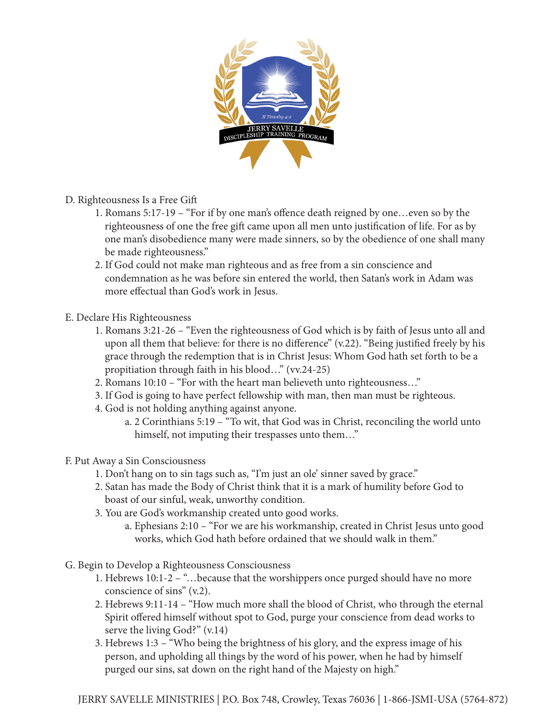

- D. Righteousness Is a Free Gift
	- 1. Romans 5:17-19 "For if by one man's offence death reigned by one…even so by the righteousness of one the free gift came upon all men unto justification of life. For as by one man's disobedience many were made sinners, so by the obedience of one shall many be made righteousness."
	- 2. If God could not make man righteous and as free from a sin conscience and condemnation as he was before sin entered the world, then Satan's work in Adam was more effectual than God's work in Jesus.
- E. Declare His Righteousness
	- 1. Romans 3:21-26 "Even the righteousness of God which is by faith of Jesus unto all and upon all them that believe: for there is no difference" (v.22). "Being justified freely by his grace through the redemption that is in Christ Jesus: Whom God hath set forth to be a propitiation through faith in his blood…" (vv.24-25)
	- 2. Romans 10:10 "For with the heart man believeth unto righteousness…"
	- 3. If God is going to have perfect fellowship with man, then man must be righteous.
	- 4. God is not holding anything against anyone.
		- a. 2 Corinthians 5:19 "To wit, that God was in Christ, reconciling the world unto himself, not imputing their trespasses unto them..."
- F. Put Away a Sin Consciousness
	- 1. Don't hang on to sin tags such as, "I'm just an ole' sinner saved by grace."
	- 2. Satan has made the Body of Christ think that it is a mark of humility before God to boast of our sinful, weak, unworthy condition.
	- 3. You are God's workmanship created unto good works.
		- a. Ephesians 2:10 "For we are his workmanship, created in Christ Jesus unto good works, which God hath before ordained that we should walk in them."
- G. Begin to Develop a Righteousness Consciousness
	- 1. Hebrews 10:1-2 "…because that the worshippers once purged should have no more conscience of sins" (v.2).
	- 2. Hebrews 9:11-14 "How much more shall the blood of Christ, who through the eternal Spirit offered himself without spot to God, purge your conscience from dead works to serve the living God?" (v.14)
	- 3. Hebrews 1:3 "Who being the brightness of his glory, and the express image of his person, and upholding all things by the word of his power, when he had by himself purged our sins, sat down on the right hand of the Majesty on high."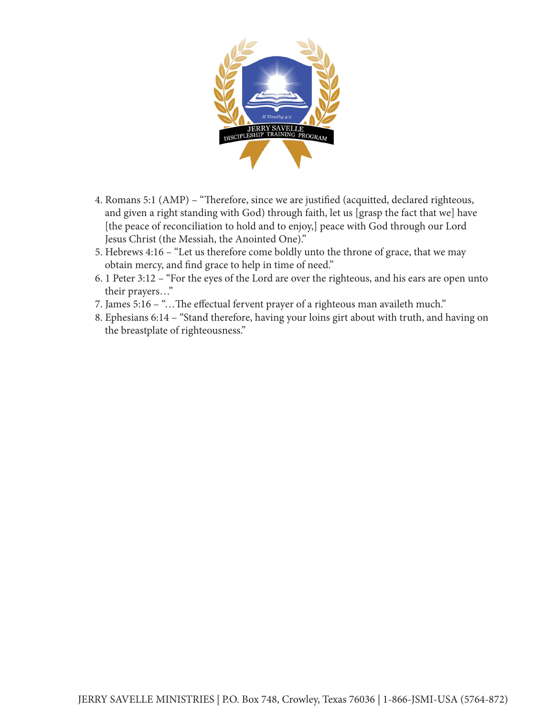

- 4. Romans 5:1 (AMP) "Therefore, since we are justified (acquitted, declared righteous, and given a right standing with God) through faith, let us [grasp the fact that we] have [the peace of reconciliation to hold and to enjoy,] peace with God through our Lord Jesus Christ (the Messiah, the Anointed One)."
- 5. Hebrews 4:16 "Let us therefore come boldly unto the throne of grace, that we may obtain mercy, and find grace to help in time of need."
- 6. 1 Peter 3:12 "For the eyes of the Lord are over the righteous, and his ears are open unto their prayers…"
- 7. James 5:16 "…The effectual fervent prayer of a righteous man availeth much."
- 8. Ephesians 6:14 "Stand therefore, having your loins girt about with truth, and having on the breastplate of righteousness."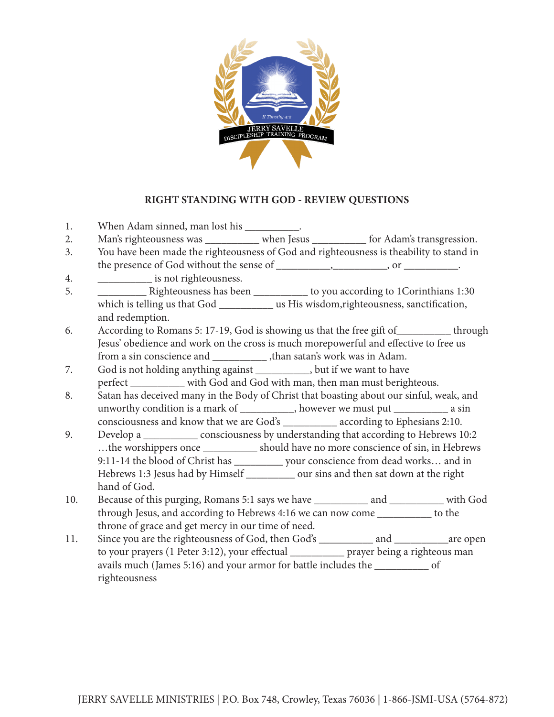

## **RIGHT STANDING WITH GOD - REVIEW QUESTIONS**

| 1.  | When Adam sinned, man lost his ___________.                                                |
|-----|--------------------------------------------------------------------------------------------|
| 2.  | Man's righteousness was ___________ when Jesus __________ for Adam's transgression.        |
| 3.  | You have been made the righteousness of God and righteousness is theability to stand in    |
|     |                                                                                            |
| 4.  | is not righteousness.                                                                      |
| 5.  |                                                                                            |
|     | which is telling us that God ________________ us His wisdom,righteousness, sanctification, |
|     | and redemption.                                                                            |
| 6.  | According to Romans 5: 17-19, God is showing us that the free gift of home through         |
|     | Jesus' obedience and work on the cross is much morepowerful and effective to free us       |
|     | from a sin conscience and _______________, than satan's work was in Adam.                  |
| 7.  | God is not holding anything against ___________, but if we want to have                    |
|     | perfect _________ with God and God with man, then man must berighteous.                    |
| 8.  | Satan has deceived many in the Body of Christ that boasting about our sinful, weak, and    |
|     | unworthy condition is a mark of ___________, however we must put _____________ a sin       |
|     | consciousness and know that we are God's __________ according to Ephesians 2:10.           |
| 9.  | Develop a ______________ consciousness by understanding that according to Hebrews 10:2     |
|     | the worshippers once ____________ should have no more conscience of sin, in Hebrews        |
|     | 9:11-14 the blood of Christ has ____________ your conscience from dead works and in        |
|     | Hebrews 1:3 Jesus had by Himself ___________ our sins and then sat down at the right       |
|     | hand of God.                                                                               |
| 10. |                                                                                            |
|     | through Jesus, and according to Hebrews 4:16 we can now come __________ to the             |
|     | throne of grace and get mercy in our time of need.                                         |
| 11. | Since you are the righteousness of God, then God's ____________ and _____________ are open |
|     | to your prayers (1 Peter 3:12), your effectual ____________ prayer being a righteous man   |
|     | avails much (James 5:16) and your armor for battle includes the ______________ of          |
|     | righteousness                                                                              |